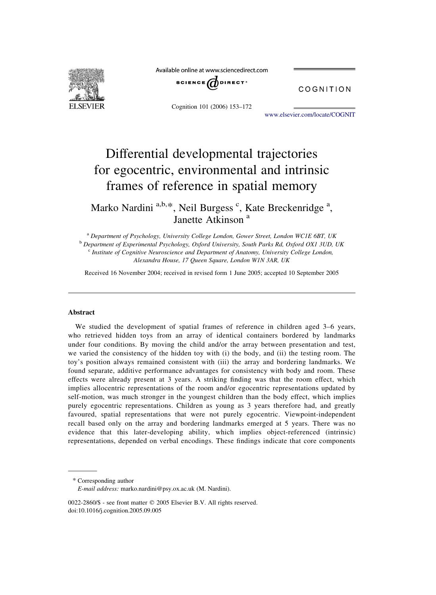

Available online at www.sciencedirect.com



COGNITION

Cognition 101 (2006) 153–172

[www.elsevier.com/locate/COGNIT](http://www.elsevier.com/locate/COGNIT)

# Differential developmental trajectories for egocentric, environmental and intrinsic frames of reference in spatial memory

Marko Nardini<sup>a,b,\*</sup>, Neil Burgess<sup>c</sup>, Kate Breckenridge<sup>a</sup>, Janette Atkinson<sup>a</sup>

<sup>a</sup> Department of Psychology, University College London, Gower Street, London WC1E 6BT, UK <sup>b</sup> Department of Experimental Psychology, Oxford University, South Parks Rd, Oxford OX1 3UD, UK <sup>c</sup> Institute of Cognitive Neuroscience and Department of Anatomy, University College London, Alexandra House, 17 Queen Square, London W1N 3AR, UK

Received 16 November 2004; received in revised form 1 June 2005; accepted 10 September 2005

#### Abstract

We studied the development of spatial frames of reference in children aged 3–6 years, who retrieved hidden toys from an array of identical containers bordered by landmarks under four conditions. By moving the child and/or the array between presentation and test, we varied the consistency of the hidden toy with (i) the body, and (ii) the testing room. The toy's position always remained consistent with (iii) the array and bordering landmarks. We found separate, additive performance advantages for consistency with body and room. These effects were already present at 3 years. A striking finding was that the room effect, which implies allocentric representations of the room and/or egocentric representations updated by self-motion, was much stronger in the youngest children than the body effect, which implies purely egocentric representations. Children as young as 3 years therefore had, and greatly favoured, spatial representations that were not purely egocentric. Viewpoint-independent recall based only on the array and bordering landmarks emerged at 5 years. There was no evidence that this later-developing ability, which implies object-referenced (intrinsic) representations, depended on verbal encodings. These findings indicate that core components

\* Corresponding author E-mail address: marko.nardini@psy.ox.ac.uk (M. Nardini).

0022-2860/\$ - see front matter © 2005 Elsevier B.V. All rights reserved. doi:10.1016/j.cognition.2005.09.005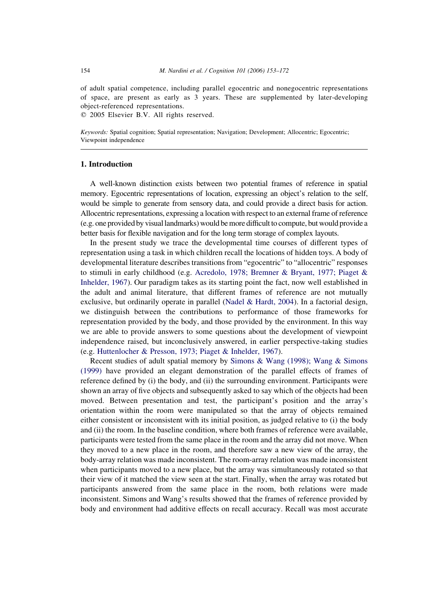of adult spatial competence, including parallel egocentric and nonegocentric representations of space, are present as early as 3 years. These are supplemented by later-developing object-referenced representations.

 $Q$  2005 Elsevier B.V. All rights reserved.

Keywords: Spatial cognition; Spatial representation; Navigation; Development; Allocentric; Egocentric; Viewpoint independence

#### 1. Introduction

A well-known distinction exists between two potential frames of reference in spatial memory. Egocentric representations of location, expressing an object's relation to the self, would be simple to generate from sensory data, and could provide a direct basis for action. Allocentric representations, expressing a location with respect to an external frame of reference (e.g. one provided by visual landmarks) would be more difficult to compute, but would provide a better basis for flexible navigation and for the long term storage of complex layouts.

In the present study we trace the developmental time courses of different types of representation using a task in which children recall the locations of hidden toys. A body of developmental literature describes transitions from "egocentric" to "allocentric" responses to stimuli in early childhood (e.g. [Acredolo, 1978; Bremner & Bryant, 1977; Piaget &](#page-18-0) [Inhelder, 1967](#page-18-0)). Our paradigm takes as its starting point the fact, now well established in the adult and animal literature, that different frames of reference are not mutually exclusive, but ordinarily operate in parallel [\(Nadel & Hardt, 2004\)](#page-19-0). In a factorial design, we distinguish between the contributions to performance of those frameworks for representation provided by the body, and those provided by the environment. In this way we are able to provide answers to some questions about the development of viewpoint independence raised, but inconclusively answered, in earlier perspective-taking studies (e.g. [Huttenlocher & Presson, 1973; Piaget & Inhelder, 1967](#page-19-0)).

Recent studies of adult spatial memory by [Simons & Wang \(1998\); Wang & Simons](#page-19-0) [\(1999\)](#page-19-0) have provided an elegant demonstration of the parallel effects of frames of reference defined by (i) the body, and (ii) the surrounding environment. Participants were shown an array of five objects and subsequently asked to say which of the objects had been moved. Between presentation and test, the participant's position and the array's orientation within the room were manipulated so that the array of objects remained either consistent or inconsistent with its initial position, as judged relative to (i) the body and (ii) the room. In the baseline condition, where both frames of reference were available, participants were tested from the same place in the room and the array did not move. When they moved to a new place in the room, and therefore saw a new view of the array, the body-array relation was made inconsistent. The room-array relation was made inconsistent when participants moved to a new place, but the array was simultaneously rotated so that their view of it matched the view seen at the start. Finally, when the array was rotated but participants answered from the same place in the room, both relations were made inconsistent. Simons and Wang's results showed that the frames of reference provided by body and environment had additive effects on recall accuracy. Recall was most accurate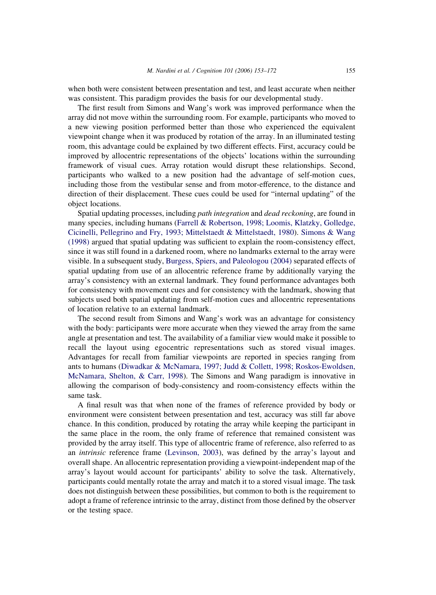when both were consistent between presentation and test, and least accurate when neither was consistent. This paradigm provides the basis for our developmental study.

The first result from Simons and Wang's work was improved performance when the array did not move within the surrounding room. For example, participants who moved to a new viewing position performed better than those who experienced the equivalent viewpoint change when it was produced by rotation of the array. In an illuminated testing room, this advantage could be explained by two different effects. First, accuracy could be improved by allocentric representations of the objects' locations within the surrounding framework of visual cues. Array rotation would disrupt these relationships. Second, participants who walked to a new position had the advantage of self-motion cues, including those from the vestibular sense and from motor-efference, to the distance and direction of their displacement. These cues could be used for "internal updating" of the object locations.

Spatial updating processes, including path integration and dead reckoning, are found in many species, including humans [\(Farrell & Robertson, 1998; Loomis, Klatzky, Golledge,](#page-18-0) [Cicinelli, Pellegrino and Fry, 1993; Mittelstaedt & Mittelstaedt, 1980](#page-18-0)). [Simons & Wang](#page-19-0) [\(1998\)](#page-19-0) argued that spatial updating was sufficient to explain the room-consistency effect, since it was still found in a darkened room, where no landmarks external to the array were visible. In a subsequent study, [Burgess, Spiers, and Paleologou \(2004\)](#page-18-0) separated effects of spatial updating from use of an allocentric reference frame by additionally varying the array's consistency with an external landmark. They found performance advantages both for consistency with movement cues and for consistency with the landmark, showing that subjects used both spatial updating from self-motion cues and allocentric representations of location relative to an external landmark.

The second result from Simons and Wang's work was an advantage for consistency with the body: participants were more accurate when they viewed the array from the same angle at presentation and test. The availability of a familiar view would make it possible to recall the layout using egocentric representations such as stored visual images. Advantages for recall from familiar viewpoints are reported in species ranging from ants to humans [\(Diwadkar & McNamara, 1997; Judd & Collett, 1998; Roskos-Ewoldsen,](#page-18-0) [McNamara, Shelton, & Carr, 1998\)](#page-18-0). The Simons and Wang paradigm is innovative in allowing the comparison of body-consistency and room-consistency effects within the same task.

A final result was that when none of the frames of reference provided by body or environment were consistent between presentation and test, accuracy was still far above chance. In this condition, produced by rotating the array while keeping the participant in the same place in the room, the only frame of reference that remained consistent was provided by the array itself. This type of allocentric frame of reference, also referred to as an intrinsic reference frame [\(Levinson, 2003](#page-19-0)), was defined by the array's layout and overall shape. An allocentric representation providing a viewpoint-independent map of the array's layout would account for participants' ability to solve the task. Alternatively, participants could mentally rotate the array and match it to a stored visual image. The task does not distinguish between these possibilities, but common to both is the requirement to adopt a frame of reference intrinsic to the array, distinct from those defined by the observer or the testing space.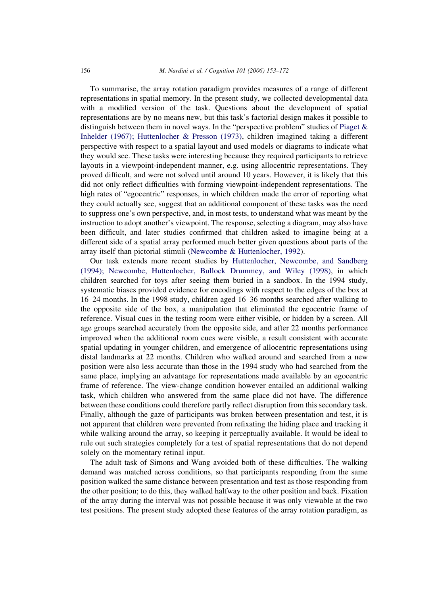To summarise, the array rotation paradigm provides measures of a range of different representations in spatial memory. In the present study, we collected developmental data with a modified version of the task. Questions about the development of spatial representations are by no means new, but this task's factorial design makes it possible to distinguish between them in novel ways. In the "perspective problem" studies of Piaget  $\&$ [Inhelder \(1967\); Huttenlocher & Presson \(1973\)](#page-19-0), children imagined taking a different perspective with respect to a spatial layout and used models or diagrams to indicate what they would see. These tasks were interesting because they required participants to retrieve layouts in a viewpoint-independent manner, e.g. using allocentric representations. They proved difficult, and were not solved until around 10 years. However, it is likely that this did not only reflect difficulties with forming viewpoint-independent representations. The high rates of "egocentric" responses, in which children made the error of reporting what they could actually see, suggest that an additional component of these tasks was the need to suppress one's own perspective, and, in most tests, to understand what was meant by the instruction to adopt another's viewpoint. The response, selecting a diagram, may also have been difficult, and later studies confirmed that children asked to imagine being at a different side of a spatial array performed much better given questions about parts of the array itself than pictorial stimuli [\(Newcombe & Huttenlocher, 1992](#page-19-0)).

Our task extends more recent studies by [Huttenlocher, Newcombe, and Sandberg](#page-19-0) [\(1994\); Newcombe, Huttenlocher, Bullock Drummey, and Wiley \(1998\)](#page-19-0), in which children searched for toys after seeing them buried in a sandbox. In the 1994 study, systematic biases provided evidence for encodings with respect to the edges of the box at 16–24 months. In the 1998 study, children aged 16–36 months searched after walking to the opposite side of the box, a manipulation that eliminated the egocentric frame of reference. Visual cues in the testing room were either visible, or hidden by a screen. All age groups searched accurately from the opposite side, and after 22 months performance improved when the additional room cues were visible, a result consistent with accurate spatial updating in younger children, and emergence of allocentric representations using distal landmarks at 22 months. Children who walked around and searched from a new position were also less accurate than those in the 1994 study who had searched from the same place, implying an advantage for representations made available by an egocentric frame of reference. The view-change condition however entailed an additional walking task, which children who answered from the same place did not have. The difference between these conditions could therefore partly reflect disruption from this secondary task. Finally, although the gaze of participants was broken between presentation and test, it is not apparent that children were prevented from refixating the hiding place and tracking it while walking around the array, so keeping it perceptually available. It would be ideal to rule out such strategies completely for a test of spatial representations that do not depend solely on the momentary retinal input.

The adult task of Simons and Wang avoided both of these difficulties. The walking demand was matched across conditions, so that participants responding from the same position walked the same distance between presentation and test as those responding from the other position; to do this, they walked halfway to the other position and back. Fixation of the array during the interval was not possible because it was only viewable at the two test positions. The present study adopted these features of the array rotation paradigm, as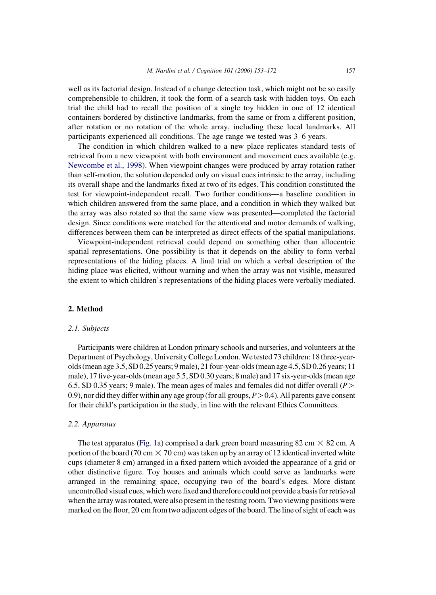well as its factorial design. Instead of a change detection task, which might not be so easily comprehensible to children, it took the form of a search task with hidden toys. On each trial the child had to recall the position of a single toy hidden in one of 12 identical containers bordered by distinctive landmarks, from the same or from a different position, after rotation or no rotation of the whole array, including these local landmarks. All participants experienced all conditions. The age range we tested was 3–6 years.

The condition in which children walked to a new place replicates standard tests of retrieval from a new viewpoint with both environment and movement cues available (e.g. [Newcombe et al., 1998\)](#page-19-0). When viewpoint changes were produced by array rotation rather than self-motion, the solution depended only on visual cues intrinsic to the array, including its overall shape and the landmarks fixed at two of its edges. This condition constituted the test for viewpoint-independent recall. Two further conditions—a baseline condition in which children answered from the same place, and a condition in which they walked but the array was also rotated so that the same view was presented—completed the factorial design. Since conditions were matched for the attentional and motor demands of walking, differences between them can be interpreted as direct effects of the spatial manipulations.

Viewpoint-independent retrieval could depend on something other than allocentric spatial representations. One possibility is that it depends on the ability to form verbal representations of the hiding places. A final trial on which a verbal description of the hiding place was elicited, without warning and when the array was not visible, measured the extent to which children's representations of the hiding places were verbally mediated.

## 2. Method

#### 2.1. Subjects

Participants were children at London primary schools and nurseries, and volunteers at the Department of Psychology, University College London. We tested 73 children: 18 three-yearolds (mean age 3.5, SD 0.25 years; 9 male), 21 four-year-olds (mean age 4.5, SD 0.26 years; 11 male), 17 five-year-olds (mean age 5.5, SD 0.30 years; 8 male) and 17 six-year-olds (mean age 6.5, SD 0.35 years; 9 male). The mean ages of males and females did not differ overall ( $P$ 0.9), nor did they differ within any age group (for all groups,  $P > 0.4$ ). All parents gave consent for their child's participation in the study, in line with the relevant Ethics Committees.

## 2.2. Apparatus

The test apparatus ([Fig. 1](#page-5-0)a) comprised a dark green board measuring 82 cm  $\times$  82 cm. A portion of the board (70 cm  $\times$  70 cm) was taken up by an array of 12 identical inverted white cups (diameter 8 cm) arranged in a fixed pattern which avoided the appearance of a grid or other distinctive figure. Toy houses and animals which could serve as landmarks were arranged in the remaining space, occupying two of the board's edges. More distant uncontrolled visual cues, which were fixed and therefore could not provide a basis for retrieval when the array was rotated, were also present in the testing room. Two viewing positions were marked on the floor, 20 cm from two adjacent edges of the board. The line of sight of each was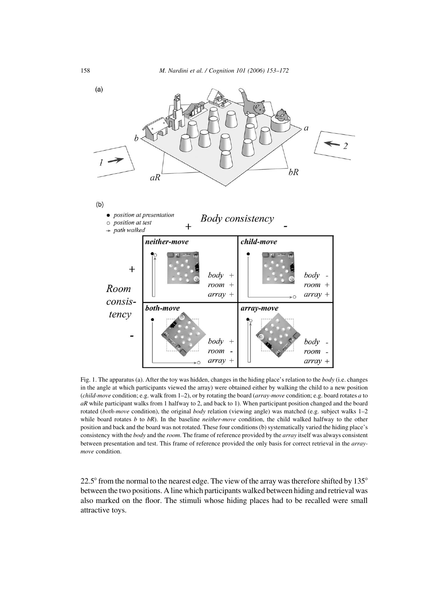<span id="page-5-0"></span>

Fig. 1. The apparatus (a). After the toy was hidden, changes in the hiding place's relation to the body (i.e. changes in the angle at which participants viewed the array) were obtained either by walking the child to a new position (child-move condition; e.g. walk from 1–2), or by rotating the board (array-move condition; e.g. board rotates a to aR while participant walks from 1 halfway to 2, and back to 1). When participant position changed and the board rotated (both-move condition), the original body relation (viewing angle) was matched (e.g. subject walks 1–2 while board rotates  $b$  to  $bR$ ). In the baseline *neither-move* condition, the child walked halfway to the other position and back and the board was not rotated. These four conditions (b) systematically varied the hiding place's consistency with the body and the room. The frame of reference provided by the array itself was always consistent between presentation and test. This frame of reference provided the only basis for correct retrieval in the arraymove condition.

22.5 $^{\circ}$  from the normal to the nearest edge. The view of the array was therefore shifted by 135 $^{\circ}$ between the two positions. A line which participants walked between hiding and retrieval was also marked on the floor. The stimuli whose hiding places had to be recalled were small attractive toys.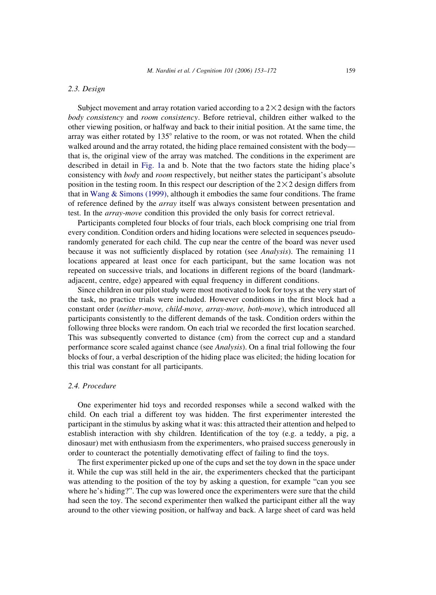### 2.3. Design

Subject movement and array rotation varied according to a  $2 \times 2$  design with the factors body consistency and room consistency. Before retrieval, children either walked to the other viewing position, or halfway and back to their initial position. At the same time, the array was either rotated by  $135^\circ$  relative to the room, or was not rotated. When the child walked around and the array rotated, the hiding place remained consistent with the body that is, the original view of the array was matched. The conditions in the experiment are described in detail in [Fig. 1](#page-5-0)a and b. Note that the two factors state the hiding place's consistency with *body* and *room* respectively, but neither states the participant's absolute position in the testing room. In this respect our description of the  $2\times 2$  design differs from that in [Wang & Simons \(1999\)](#page-19-0), although it embodies the same four conditions. The frame of reference defined by the *array* itself was always consistent between presentation and test. In the array-move condition this provided the only basis for correct retrieval.

Participants completed four blocks of four trials, each block comprising one trial from every condition. Condition orders and hiding locations were selected in sequences pseudorandomly generated for each child. The cup near the centre of the board was never used because it was not sufficiently displaced by rotation (see *Analysis*). The remaining 11 locations appeared at least once for each participant, but the same location was not repeated on successive trials, and locations in different regions of the board (landmarkadjacent, centre, edge) appeared with equal frequency in different conditions.

Since children in our pilot study were most motivated to look for toys at the very start of the task, no practice trials were included. However conditions in the first block had a constant order (neither-move, child-move, array-move, both-move), which introduced all participants consistently to the different demands of the task. Condition orders within the following three blocks were random. On each trial we recorded the first location searched. This was subsequently converted to distance (cm) from the correct cup and a standard performance score scaled against chance (see Analysis). On a final trial following the four blocks of four, a verbal description of the hiding place was elicited; the hiding location for this trial was constant for all participants.

# 2.4. Procedure

One experimenter hid toys and recorded responses while a second walked with the child. On each trial a different toy was hidden. The first experimenter interested the participant in the stimulus by asking what it was: this attracted their attention and helped to establish interaction with shy children. Identification of the toy (e.g. a teddy, a pig, a dinosaur) met with enthusiasm from the experimenters, who praised success generously in order to counteract the potentially demotivating effect of failing to find the toys.

The first experimenter picked up one of the cups and set the toy down in the space under it. While the cup was still held in the air, the experimenters checked that the participant was attending to the position of the toy by asking a question, for example "can you see where he's hiding?". The cup was lowered once the experimenters were sure that the child had seen the toy. The second experimenter then walked the participant either all the way around to the other viewing position, or halfway and back. A large sheet of card was held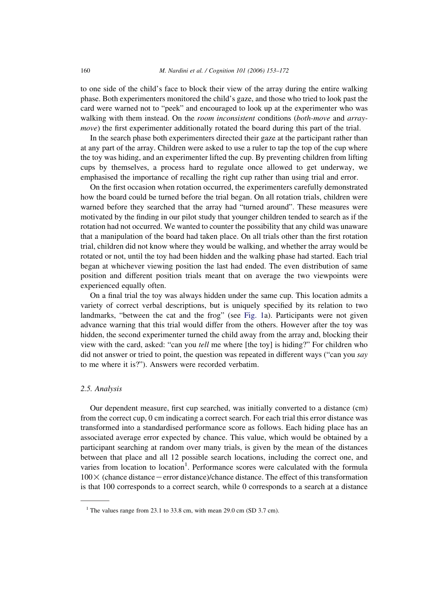to one side of the child's face to block their view of the array during the entire walking phase. Both experimenters monitored the child's gaze, and those who tried to look past the card were warned not to "peek" and encouraged to look up at the experimenter who was walking with them instead. On the *room inconsistent* conditions (both-move and arraymove) the first experimenter additionally rotated the board during this part of the trial.

In the search phase both experimenters directed their gaze at the participant rather than at any part of the array. Children were asked to use a ruler to tap the top of the cup where the toy was hiding, and an experimenter lifted the cup. By preventing children from lifting cups by themselves, a process hard to regulate once allowed to get underway, we emphasised the importance of recalling the right cup rather than using trial and error.

On the first occasion when rotation occurred, the experimenters carefully demonstrated how the board could be turned before the trial began. On all rotation trials, children were warned before they searched that the array had "turned around". These measures were motivated by the finding in our pilot study that younger children tended to search as if the rotation had not occurred. We wanted to counter the possibility that any child was unaware that a manipulation of the board had taken place. On all trials other than the first rotation trial, children did not know where they would be walking, and whether the array would be rotated or not, until the toy had been hidden and the walking phase had started. Each trial began at whichever viewing position the last had ended. The even distribution of same position and different position trials meant that on average the two viewpoints were experienced equally often.

On a final trial the toy was always hidden under the same cup. This location admits a variety of correct verbal descriptions, but is uniquely specified by its relation to two landmarks, "between the cat and the frog" (see [Fig. 1a](#page-5-0)). Participants were not given advance warning that this trial would differ from the others. However after the toy was hidden, the second experimenter turned the child away from the array and, blocking their view with the card, asked: "can you tell me where [the toy] is hiding?" For children who did not answer or tried to point, the question was repeated in different ways ("can you say to me where it is?"). Answers were recorded verbatim.

## 2.5. Analysis

Our dependent measure, first cup searched, was initially converted to a distance (cm) from the correct cup, 0 cm indicating a correct search. For each trial this error distance was transformed into a standardised performance score as follows. Each hiding place has an associated average error expected by chance. This value, which would be obtained by a participant searching at random over many trials, is given by the mean of the distances between that place and all 12 possible search locations, including the correct one, and varies from location to location<sup>1</sup>. Performance scores were calculated with the formula  $100 \times$  (chance distance – error distance)/chance distance. The effect of this transformation is that 100 corresponds to a correct search, while 0 corresponds to a search at a distance

<sup>&</sup>lt;sup>1</sup> The values range from 23.1 to 33.8 cm, with mean 29.0 cm (SD 3.7 cm).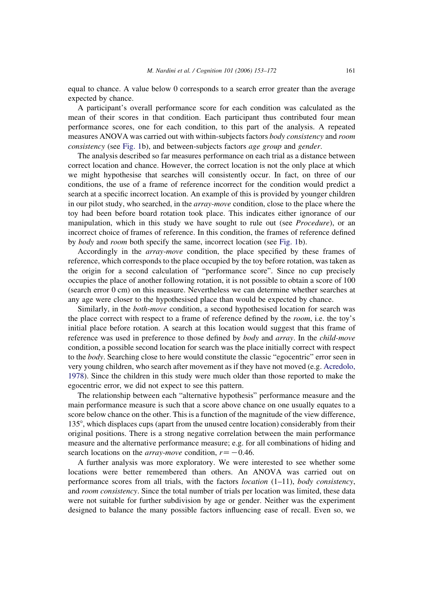equal to chance. A value below 0 corresponds to a search error greater than the average expected by chance.

A participant's overall performance score for each condition was calculated as the mean of their scores in that condition. Each participant thus contributed four mean performance scores, one for each condition, to this part of the analysis. A repeated measures ANOVA was carried out with within-subjects factors *body consistency* and *room* consistency (see [Fig. 1](#page-5-0)b), and between-subjects factors age group and gender.

The analysis described so far measures performance on each trial as a distance between correct location and chance. However, the correct location is not the only place at which we might hypothesise that searches will consistently occur. In fact, on three of our conditions, the use of a frame of reference incorrect for the condition would predict a search at a specific incorrect location. An example of this is provided by younger children in our pilot study, who searched, in the array-move condition, close to the place where the toy had been before board rotation took place. This indicates either ignorance of our manipulation, which in this study we have sought to rule out (see *Procedure*), or an incorrect choice of frames of reference. In this condition, the frames of reference defined by *body* and *room* both specify the same, incorrect location (see [Fig. 1b](#page-5-0)).

Accordingly in the array-move condition, the place specified by these frames of reference, which corresponds to the place occupied by the toy before rotation, was taken as the origin for a second calculation of "performance score". Since no cup precisely occupies the place of another following rotation, it is not possible to obtain a score of 100 (search error 0 cm) on this measure. Nevertheless we can determine whether searches at any age were closer to the hypothesised place than would be expected by chance.

Similarly, in the both-move condition, a second hypothesised location for search was the place correct with respect to a frame of reference defined by the room, i.e. the toy's initial place before rotation. A search at this location would suggest that this frame of reference was used in preference to those defined by *body* and *array*. In the *child-move* condition, a possible second location for search was the place initially correct with respect to the body. Searching close to here would constitute the classic "egocentric" error seen in very young children, who search after movement as if they have not moved (e.g. [Acredolo,](#page-18-0) [1978\)](#page-18-0). Since the children in this study were much older than those reported to make the egocentric error, we did not expect to see this pattern.

The relationship between each "alternative hypothesis" performance measure and the main performance measure is such that a score above chance on one usually equates to a score below chance on the other. This is a function of the magnitude of the view difference, 135°, which displaces cups (apart from the unused centre location) considerably from their original positions. There is a strong negative correlation between the main performance measure and the alternative performance measure; e.g. for all combinations of hiding and search locations on the *array-move* condition,  $r = -0.46$ .

A further analysis was more exploratory. We were interested to see whether some locations were better remembered than others. An ANOVA was carried out on performance scores from all trials, with the factors *location*  $(1-11)$ , *body consistency*, and *room consistency*. Since the total number of trials per location was limited, these data were not suitable for further subdivision by age or gender. Neither was the experiment designed to balance the many possible factors influencing ease of recall. Even so, we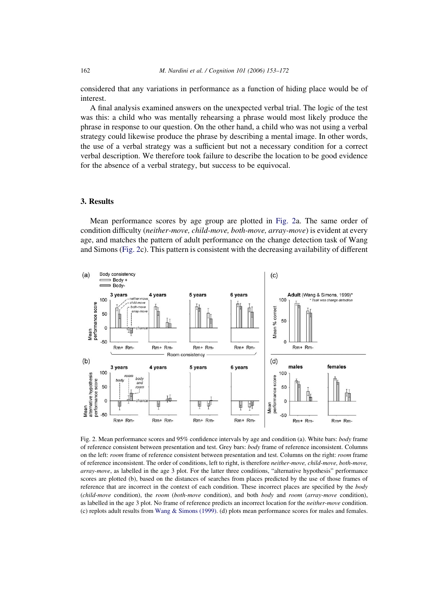<span id="page-9-0"></span>considered that any variations in performance as a function of hiding place would be of interest.

A final analysis examined answers on the unexpected verbal trial. The logic of the test was this: a child who was mentally rehearsing a phrase would most likely produce the phrase in response to our question. On the other hand, a child who was not using a verbal strategy could likewise produce the phrase by describing a mental image. In other words, the use of a verbal strategy was a sufficient but not a necessary condition for a correct verbal description. We therefore took failure to describe the location to be good evidence for the absence of a verbal strategy, but success to be equivocal.

#### 3. Results

Mean performance scores by age group are plotted in Fig. 2a. The same order of condition difficulty (neither-move, child-move, both-move, array-move) is evident at every age, and matches the pattern of adult performance on the change detection task of Wang and Simons (Fig. 2c). This pattern is consistent with the decreasing availability of different



Fig. 2. Mean performance scores and 95% confidence intervals by age and condition (a). White bars: body frame of reference consistent between presentation and test. Grey bars: body frame of reference inconsistent. Columns on the left: room frame of reference consistent between presentation and test. Columns on the right: room frame of reference inconsistent. The order of conditions, left to right, is therefore neither-move, child-move, both-move, array-move, as labelled in the age 3 plot. For the latter three conditions, "alternative hypothesis" performance scores are plotted (b), based on the distances of searches from places predicted by the use of those frames of reference that are incorrect in the context of each condition. These incorrect places are specified by the body (child-move condition), the room (both-move condition), and both body and room (array-move condition), as labelled in the age 3 plot. No frame of reference predicts an incorrect location for the neither-move condition. (c) replots adult results from [Wang & Simons \(1999\)](#page-19-0). (d) plots mean performance scores for males and females.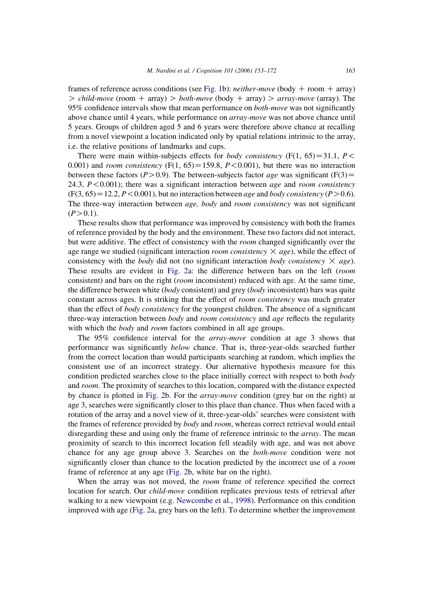frames of reference across conditions (see [Fig. 1b](#page-5-0)): *neither-move* (body  $+$  room  $+$  array)  $\geq$  child-move (room  $+$  array)  $>$  both-move (body  $+$  array)  $>$  array-move (array). The 95% confidence intervals show that mean performance on both-move was not significantly above chance until 4 years, while performance on *array-move* was not above chance until 5 years. Groups of children aged 5 and 6 years were therefore above chance at recalling from a novel viewpoint a location indicated only by spatial relations intrinsic to the array, i.e. the relative positions of landmarks and cups.

There were main within-subjects effects for *body consistency* (F(1, 65) = 31.1, P < 0.001) and room consistency  $(F(1, 65) = 159.8, P < 0.001)$ , but there was no interaction between these factors ( $P > 0.9$ ). The between-subjects factor *age* was significant ( $F(3)$ ) 24.3,  $P \le 0.001$ ; there was a significant interaction between *age* and *room consistency*  $(F(3, 65) = 12.2, P < 0.001)$ , but no interaction between *age* and *body consistency* (*P* > 0.6). The three-way interaction between *age, body* and *room consistency* was not significant  $(P>0.1)$ .

These results show that performance was improved by consistency with both the frames of reference provided by the body and the environment. These two factors did not interact, but were additive. The effect of consistency with the *room* changed significantly over the age range we studied (significant interaction *room consistency*  $\times$  *age*), while the effect of consistency with the *body* did not (no significant interaction *body consistency*  $\times$  *age*). These results are evident in [Fig. 2a](#page-9-0): the difference between bars on the left (room consistent) and bars on the right (*room* inconsistent) reduced with age. At the same time, the difference between white (*body* consistent) and grey (*body* inconsistent) bars was quite constant across ages. It is striking that the effect of *room consistency* was much greater than the effect of body consistency for the youngest children. The absence of a significant three-way interaction between *body* and *room consistency* and *age* reflects the regularity with which the *body* and *room* factors combined in all age groups.

The 95% confidence interval for the array-move condition at age 3 shows that performance was significantly below chance. That is, three-year-olds searched further from the correct location than would participants searching at random, which implies the consistent use of an incorrect strategy. Our alternative hypothesis measure for this condition predicted searches close to the place initially correct with respect to both *body* and *room*. The proximity of searches to this location, compared with the distance expected by chance is plotted in [Fig. 2](#page-9-0)b. For the array-move condition (grey bar on the right) at age 3, searches were significantly closer to this place than chance. Thus when faced with a rotation of the array and a novel view of it, three-year-olds' searches were consistent with the frames of reference provided by *body* and *room*, whereas correct retrieval would entail disregarding these and using only the frame of reference intrinsic to the *array*. The mean proximity of search to this incorrect location fell steadily with age, and was not above chance for any age group above 3. Searches on the both-move condition were not significantly closer than chance to the location predicted by the incorrect use of a *room* frame of reference at any age ([Fig. 2b](#page-9-0), white bar on the right).

When the array was not moved, the *room* frame of reference specified the correct location for search. Our child-move condition replicates previous tests of retrieval after walking to a new viewpoint (e.g. [Newcombe et al., 1998\)](#page-19-0). Performance on this condition improved with age [\(Fig. 2a](#page-9-0), grey bars on the left). To determine whether the improvement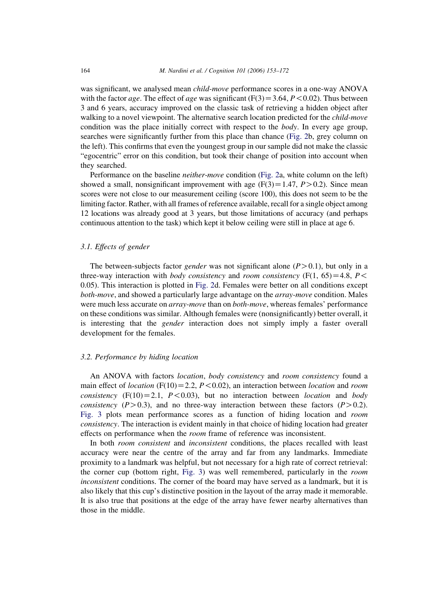was significant, we analysed mean *child-move* performance scores in a one-way ANOVA with the factor *age*. The effect of *age* was significant (F(3) = 3.64, P < 0.02). Thus between 3 and 6 years, accuracy improved on the classic task of retrieving a hidden object after walking to a novel viewpoint. The alternative search location predicted for the child-move condition was the place initially correct with respect to the body. In every age group, searches were significantly further from this place than chance [\(Fig. 2b](#page-9-0), grey column on the left). This confirms that even the youngest group in our sample did not make the classic "egocentric" error on this condition, but took their change of position into account when they searched.

Performance on the baseline *neither-move* condition ([Fig. 2a](#page-9-0), white column on the left) showed a small, nonsignificant improvement with age  $(F(3)=1.47, P>0.2)$ . Since mean scores were not close to our measurement ceiling (score 100), this does not seem to be the limiting factor. Rather, with all frames of reference available, recall for a single object among 12 locations was already good at 3 years, but those limitations of accuracy (and perhaps continuous attention to the task) which kept it below ceiling were still in place at age 6.

## 3.1. Effects of gender

The between-subjects factor *gender* was not significant alone  $(P>0.1)$ , but only in a three-way interaction with *body consistency* and *room consistency* (F(1, 65)=4.8, P< 0.05). This interaction is plotted in [Fig. 2d](#page-9-0). Females were better on all conditions except both-move, and showed a particularly large advantage on the *array-move* condition. Males were much less accurate on *array-move* than on *both-move*, whereas females' performance on these conditions was similar. Although females were (nonsignificantly) better overall, it is interesting that the *gender* interaction does not simply imply a faster overall development for the females.

## 3.2. Performance by hiding location

An ANOVA with factors location, body consistency and room consistency found a main effect of *location* (F(10)=2.2, P < 0.02), an interaction between *location* and room consistency (F(10)=2.1, P < 0.03), but no interaction between *location* and *body consistency* ( $P > 0.3$ ), and no three-way interaction between these factors ( $P > 0.2$ ). [Fig. 3](#page-12-0) plots mean performance scores as a function of hiding location and room consistency. The interaction is evident mainly in that choice of hiding location had greater effects on performance when the room frame of reference was inconsistent.

In both *room consistent* and *inconsistent* conditions, the places recalled with least accuracy were near the centre of the array and far from any landmarks. Immediate proximity to a landmark was helpful, but not necessary for a high rate of correct retrieval: the corner cup (bottom right, [Fig. 3\)](#page-12-0) was well remembered, particularly in the room inconsistent conditions. The corner of the board may have served as a landmark, but it is also likely that this cup's distinctive position in the layout of the array made it memorable. It is also true that positions at the edge of the array have fewer nearby alternatives than those in the middle.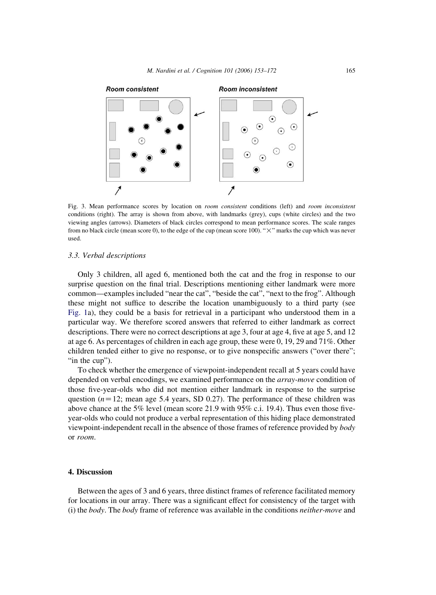<span id="page-12-0"></span>

Fig. 3. Mean performance scores by location on *room consistent* conditions (left) and *room inconsistent* conditions (right). The array is shown from above, with landmarks (grey), cups (white circles) and the two viewing angles (arrows). Diameters of black circles correspond to mean performance scores. The scale ranges from no black circle (mean score 0), to the edge of the cup (mean score 100). " $\times$ " marks the cup which was never used.

#### 3.3. Verbal descriptions

Only 3 children, all aged 6, mentioned both the cat and the frog in response to our surprise question on the final trial. Descriptions mentioning either landmark were more common—examples included "near the cat", "beside the cat", "next to the frog". Although these might not suffice to describe the location unambiguously to a third party (see [Fig. 1a](#page-5-0)), they could be a basis for retrieval in a participant who understood them in a particular way. We therefore scored answers that referred to either landmark as correct descriptions. There were no correct descriptions at age 3, four at age 4, five at age 5, and 12 at age 6. As percentages of children in each age group, these were 0, 19, 29 and 71%. Other children tended either to give no response, or to give nonspecific answers ("over there"; "in the cup").

To check whether the emergence of viewpoint-independent recall at 5 years could have depended on verbal encodings, we examined performance on the *array-move* condition of those five-year-olds who did not mention either landmark in response to the surprise question ( $n=12$ ; mean age 5.4 years, SD 0.27). The performance of these children was above chance at the 5% level (mean score 21.9 with 95% c.i. 19.4). Thus even those fiveyear-olds who could not produce a verbal representation of this hiding place demonstrated viewpoint-independent recall in the absence of those frames of reference provided by body or room.

## 4. Discussion

Between the ages of 3 and 6 years, three distinct frames of reference facilitated memory for locations in our array. There was a significant effect for consistency of the target with (i) the body. The body frame of reference was available in the conditions neither-move and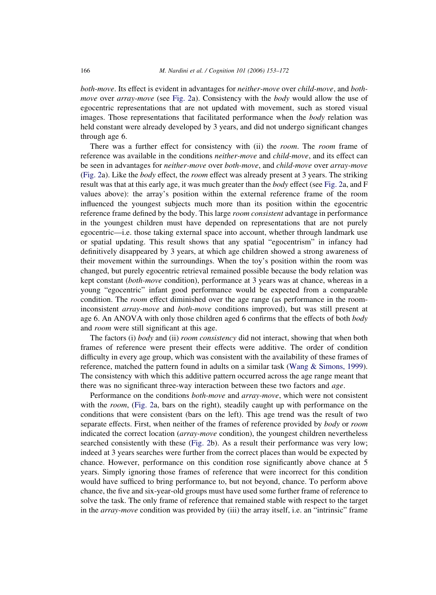both-move. Its effect is evident in advantages for neither-move over child-move, and both-move over array-move (see [Fig. 2a](#page-9-0)). Consistency with the body would allow the use of egocentric representations that are not updated with movement, such as stored visual images. Those representations that facilitated performance when the body relation was held constant were already developed by 3 years, and did not undergo significant changes through age 6.

There was a further effect for consistency with (ii) the *room*. The *room* frame of reference was available in the conditions neither-move and child-move, and its effect can be seen in advantages for neither-move over both-move, and child-move over array-move ([Fig. 2](#page-9-0)a). Like the *body* effect, the *room* effect was already present at 3 years. The striking result was that at this early age, it was much greater than the body effect (see [Fig. 2a](#page-9-0), and F values above): the array's position within the external reference frame of the room influenced the youngest subjects much more than its position within the egocentric reference frame defined by the body. This large room consistent advantage in performance in the youngest children must have depended on representations that are not purely egocentric—i.e. those taking external space into account, whether through landmark use or spatial updating. This result shows that any spatial "egocentrism" in infancy had definitively disappeared by 3 years, at which age children showed a strong awareness of their movement within the surroundings. When the toy's position within the room was changed, but purely egocentric retrieval remained possible because the body relation was kept constant (both-move condition), performance at 3 years was at chance, whereas in a young "egocentric" infant good performance would be expected from a comparable condition. The room effect diminished over the age range (as performance in the roominconsistent array-move and both-move conditions improved), but was still present at age 6. An ANOVA with only those children aged 6 confirms that the effects of both *body* and room were still significant at this age.

The factors (i) *body* and (ii) *room consistency* did not interact, showing that when both frames of reference were present their effects were additive. The order of condition difficulty in every age group, which was consistent with the availability of these frames of reference, matched the pattern found in adults on a similar task [\(Wang & Simons, 1999](#page-19-0)). The consistency with which this additive pattern occurred across the age range meant that there was no significant three-way interaction between these two factors and age.

Performance on the conditions both-move and array-move, which were not consistent with the *room*, ([Fig. 2](#page-9-0)a, bars on the right), steadily caught up with performance on the conditions that were consistent (bars on the left). This age trend was the result of two separate effects. First, when neither of the frames of reference provided by *body* or *room* indicated the correct location (array-move condition), the youngest children nevertheless searched consistently with these ([Fig. 2](#page-9-0)b). As a result their performance was very low; indeed at 3 years searches were further from the correct places than would be expected by chance. However, performance on this condition rose significantly above chance at 5 years. Simply ignoring those frames of reference that were incorrect for this condition would have sufficed to bring performance to, but not beyond, chance. To perform above chance, the five and six-year-old groups must have used some further frame of reference to solve the task. The only frame of reference that remained stable with respect to the target in the *array-move* condition was provided by (iii) the array itself, i.e. an "intrinsic" frame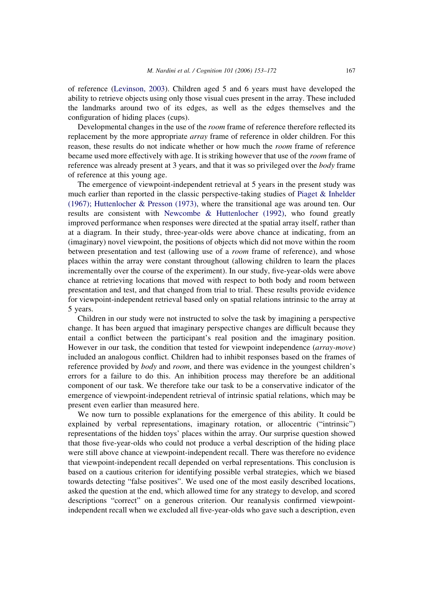of reference [\(Levinson, 2003\)](#page-19-0). Children aged 5 and 6 years must have developed the ability to retrieve objects using only those visual cues present in the array. These included the landmarks around two of its edges, as well as the edges themselves and the configuration of hiding places (cups).

Developmental changes in the use of the room frame of reference therefore reflected its replacement by the more appropriate *array* frame of reference in older children. For this reason, these results do not indicate whether or how much the room frame of reference became used more effectively with age. It is striking however that use of the room frame of reference was already present at 3 years, and that it was so privileged over the body frame of reference at this young age.

The emergence of viewpoint-independent retrieval at 5 years in the present study was much earlier than reported in the classic perspective-taking studies of Piaget  $\&$  Inhelder [\(1967\); Huttenlocher & Presson \(1973\)](#page-19-0), where the transitional age was around ten. Our results are consistent with [Newcombe & Huttenlocher \(1992\)](#page-19-0), who found greatly improved performance when responses were directed at the spatial array itself, rather than at a diagram. In their study, three-year-olds were above chance at indicating, from an (imaginary) novel viewpoint, the positions of objects which did not move within the room between presentation and test (allowing use of a *room* frame of reference), and whose places within the array were constant throughout (allowing children to learn the places incrementally over the course of the experiment). In our study, five-year-olds were above chance at retrieving locations that moved with respect to both body and room between presentation and test, and that changed from trial to trial. These results provide evidence for viewpoint-independent retrieval based only on spatial relations intrinsic to the array at 5 years.

Children in our study were not instructed to solve the task by imagining a perspective change. It has been argued that imaginary perspective changes are difficult because they entail a conflict between the participant's real position and the imaginary position. However in our task, the condition that tested for viewpoint independence *(array-move)* included an analogous conflict. Children had to inhibit responses based on the frames of reference provided by *body* and *room*, and there was evidence in the youngest children's errors for a failure to do this. An inhibition process may therefore be an additional component of our task. We therefore take our task to be a conservative indicator of the emergence of viewpoint-independent retrieval of intrinsic spatial relations, which may be present even earlier than measured here.

We now turn to possible explanations for the emergence of this ability. It could be explained by verbal representations, imaginary rotation, or allocentric ("intrinsic") representations of the hidden toys' places within the array. Our surprise question showed that those five-year-olds who could not produce a verbal description of the hiding place were still above chance at viewpoint-independent recall. There was therefore no evidence that viewpoint-independent recall depended on verbal representations. This conclusion is based on a cautious criterion for identifying possible verbal strategies, which we biased towards detecting "false positives". We used one of the most easily described locations, asked the question at the end, which allowed time for any strategy to develop, and scored descriptions "correct" on a generous criterion. Our reanalysis confirmed viewpointindependent recall when we excluded all five-year-olds who gave such a description, even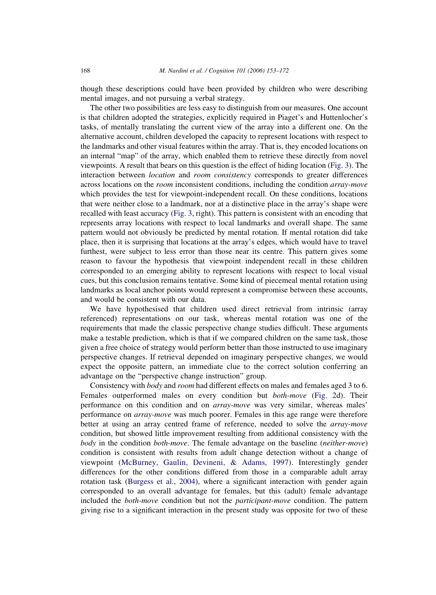though these descriptions could have been provided by children who were describing mental images, and not pursuing a verbal strategy.

The other two possibilities are less easy to distinguish from our measures. One account is that children adopted the strategies, explicitly required in Piaget's and Huttenlocher's tasks, of mentally translating the current view of the array into a different one. On the alternative account, children developed the capacity to represent locations with respect to the landmarks and other visual features within the array. That is, they encoded locations on an internal "map" of the array, which enabled them to retrieve these directly from novel viewpoints. A result that bears on this question is the effect of hiding location ([Fig. 3\)](#page-12-0). The interaction between location and room consistency corresponds to greater differences across locations on the room inconsistent conditions, including the condition array-move which provides the test for viewpoint-independent recall. On these conditions, locations that were neither close to a landmark, nor at a distinctive place in the array's shape were recalled with least accuracy ([Fig. 3,](#page-12-0) right). This pattern is consistent with an encoding that represents array locations with respect to local landmarks and overall shape. The same pattern would not obviously be predicted by mental rotation. If mental rotation did take place, then it is surprising that locations at the array's edges, which would have to travel furthest, were subject to less error than those near its centre. This pattern gives some reason to favour the hypothesis that viewpoint independent recall in these children corresponded to an emerging ability to represent locations with respect to local visual cues, but this conclusion remains tentative. Some kind of piecemeal mental rotation using landmarks as local anchor points would represent a compromise between these accounts, and would be consistent with our data.

We have hypothesised that children used direct retrieval from intrinsic (array referenced) representations on our task, whereas mental rotation was one of the requirements that made the classic perspective change studies difficult. These arguments make a testable prediction, which is that if we compared children on the same task, those given a free choice of strategy would perform better than those instructed to use imaginary perspective changes. If retrieval depended on imaginary perspective changes, we would expect the opposite pattern, an immediate clue to the correct solution conferring an advantage on the "perspective change instruction" group.

Consistency with body and room had different effects on males and females aged 3 to 6. Females outperformed males on every condition but both-move ([Fig. 2](#page-9-0)d). Their performance on this condition and on array-move was very similar, whereas males' performance on array-move was much poorer. Females in this age range were therefore better at using an array centred frame of reference, needed to solve the array-move condition, but showed little improvement resulting from additional consistency with the body in the condition both-move. The female advantage on the baseline (neither-move) condition is consistent with results from adult change detection without a change of viewpoint [\(McBurney, Gaulin, Devineni, & Adams, 1997](#page-19-0)). Interestingly gender differences for the other conditions differed from those in a comparable adult array rotation task ([Burgess et al., 2004\)](#page-18-0), where a significant interaction with gender again corresponded to an overall advantage for females, but this (adult) female advantage included the both-move condition but not the participant-move condition. The pattern giving rise to a significant interaction in the present study was opposite for two of these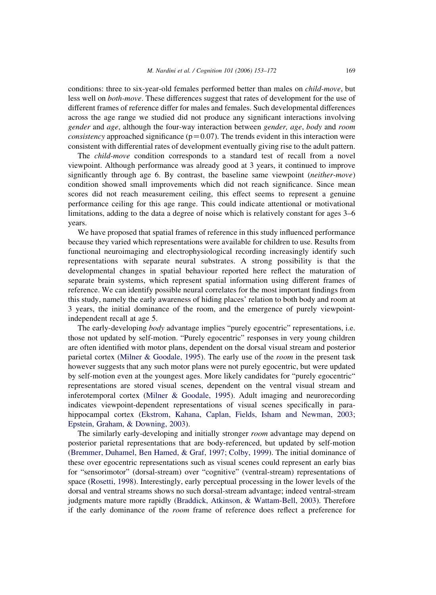conditions: three to six-year-old females performed better than males on child-move, but less well on both-move. These differences suggest that rates of development for the use of different frames of reference differ for males and females. Such developmental differences across the age range we studied did not produce any significant interactions involving gender and age, although the four-way interaction between gender, age, body and room *consistency* approached significance ( $p=0.07$ ). The trends evident in this interaction were consistent with differential rates of development eventually giving rise to the adult pattern.

The child-move condition corresponds to a standard test of recall from a novel viewpoint. Although performance was already good at 3 years, it continued to improve significantly through age 6. By contrast, the baseline same viewpoint (neither-move) condition showed small improvements which did not reach significance. Since mean scores did not reach measurement ceiling, this effect seems to represent a genuine performance ceiling for this age range. This could indicate attentional or motivational limitations, adding to the data a degree of noise which is relatively constant for ages 3–6 years.

We have proposed that spatial frames of reference in this study influenced performance because they varied which representations were available for children to use. Results from functional neuroimaging and electrophysiological recording increasingly identify such representations with separate neural substrates. A strong possibility is that the developmental changes in spatial behaviour reported here reflect the maturation of separate brain systems, which represent spatial information using different frames of reference. We can identify possible neural correlates for the most important findings from this study, namely the early awareness of hiding places' relation to both body and room at 3 years, the initial dominance of the room, and the emergence of purely viewpointindependent recall at age 5.

The early-developing body advantage implies "purely egocentric" representations, i.e. those not updated by self-motion. "Purely egocentric" responses in very young children are often identified with motor plans, dependent on the dorsal visual stream and posterior parietal cortex ([Milner & Goodale, 1995\)](#page-19-0). The early use of the *room* in the present task however suggests that any such motor plans were not purely egocentric, but were updated by self-motion even at the youngest ages. More likely candidates for "purely egocentric" representations are stored visual scenes, dependent on the ventral visual stream and inferotemporal cortex [\(Milner & Goodale, 1995\)](#page-19-0). Adult imaging and neurorecording indicates viewpoint-dependent representations of visual scenes specifically in parahippocampal cortex ([Ekstrom, Kahana, Caplan, Fields, Isham and Newman, 2003;](#page-18-0) [Epstein, Graham, & Downing, 2003\)](#page-18-0).

The similarly early-developing and initially stronger *room* advantage may depend on posterior parietal representations that are body-referenced, but updated by self-motion [\(Bremmer, Duhamel, Ben Hamed, & Graf, 1997; Colby, 1999\)](#page-18-0). The initial dominance of these over egocentric representations such as visual scenes could represent an early bias for "sensorimotor" (dorsal-stream) over "cognitive" (ventral-stream) representations of space [\(Rosetti, 1998\)](#page-19-0). Interestingly, early perceptual processing in the lower levels of the dorsal and ventral streams shows no such dorsal-stream advantage; indeed ventral-stream judgments mature more rapidly ([Braddick, Atkinson, & Wattam-Bell, 2003\)](#page-18-0). Therefore if the early dominance of the room frame of reference does reflect a preference for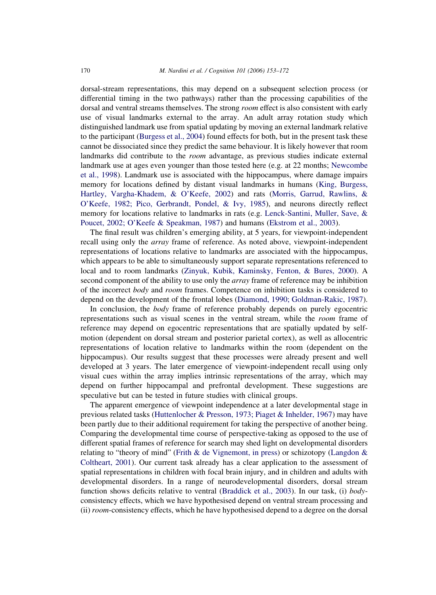dorsal-stream representations, this may depend on a subsequent selection process (or differential timing in the two pathways) rather than the processing capabilities of the dorsal and ventral streams themselves. The strong room effect is also consistent with early use of visual landmarks external to the array. An adult array rotation study which distinguished landmark use from spatial updating by moving an external landmark relative to the participant ([Burgess et al., 2004\)](#page-18-0) found effects for both, but in the present task these cannot be dissociated since they predict the same behaviour. It is likely however that room landmarks did contribute to the *room* advantage, as previous studies indicate external landmark use at ages even younger than those tested here (e.g. at 22 months; [Newcombe](#page-19-0) [et al., 1998\)](#page-19-0). Landmark use is associated with the hippocampus, where damage impairs memory for locations defined by distant visual landmarks in humans ([King, Burgess,](#page-19-0) [Hartley, Vargha-Khadem, & O'Keefe, 2002](#page-19-0)) and rats ([Morris, Garrud, Rawlins, &](#page-19-0) [O'Keefe, 1982; Pico, Gerbrandt, Pondel, & Ivy, 1985\)](#page-19-0), and neurons directly reflect memory for locations relative to landmarks in rats (e.g. [Lenck-Santini, Muller, Save, &](#page-19-0) [Poucet, 2002; O'Keefe & Speakman, 1987\)](#page-19-0) and humans [\(Ekstrom et al., 2003](#page-18-0)).

The final result was children's emerging ability, at 5 years, for viewpoint-independent recall using only the array frame of reference. As noted above, viewpoint-independent representations of locations relative to landmarks are associated with the hippocampus, which appears to be able to simultaneously support separate representations referenced to local and to room landmarks ([Zinyuk, Kubik, Kaminsky, Fenton, & Bures, 2000\)](#page-19-0). A second component of the ability to use only the array frame of reference may be inhibition of the incorrect body and room frames. Competence on inhibition tasks is considered to depend on the development of the frontal lobes ([Diamond, 1990; Goldman-Rakic, 1987](#page-18-0)).

In conclusion, the body frame of reference probably depends on purely egocentric representations such as visual scenes in the ventral stream, while the room frame of reference may depend on egocentric representations that are spatially updated by selfmotion (dependent on dorsal stream and posterior parietal cortex), as well as allocentric representations of location relative to landmarks within the room (dependent on the hippocampus). Our results suggest that these processes were already present and well developed at 3 years. The later emergence of viewpoint-independent recall using only visual cues within the array implies intrinsic representations of the array, which may depend on further hippocampal and prefrontal development. These suggestions are speculative but can be tested in future studies with clinical groups.

The apparent emergence of viewpoint independence at a later developmental stage in previous related tasks ([Huttenlocher & Presson, 1973; Piaget & Inhelder, 1967\)](#page-19-0) may have been partly due to their additional requirement for taking the perspective of another being. Comparing the developmental time course of perspective-taking as opposed to the use of different spatial frames of reference for search may shed light on developmental disorders relating to "theory of mind" ([Frith & de Vignemont, in press](#page-19-0)) or schizotopy [\(Langdon &](#page-19-0) [Coltheart, 2001](#page-19-0)). Our current task already has a clear application to the assessment of spatial representations in children with focal brain injury, and in children and adults with developmental disorders. In a range of neurodevelopmental disorders, dorsal stream function shows deficits relative to ventral [\(Braddick et al., 2003\)](#page-18-0). In our task, (i) *body*consistency effects, which we have hypothesised depend on ventral stream processing and (ii) room-consistency effects, which he have hypothesised depend to a degree on the dorsal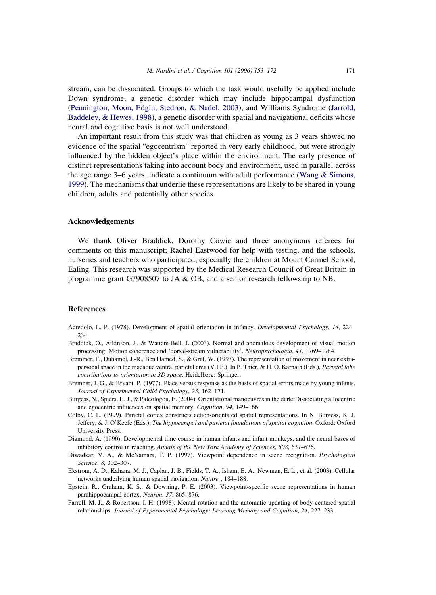<span id="page-18-0"></span>stream, can be dissociated. Groups to which the task would usefully be applied include Down syndrome, a genetic disorder which may include hippocampal dysfunction [\(Pennington, Moon, Edgin, Stedron, & Nadel, 2003\)](#page-19-0), and Williams Syndrome [\(Jarrold,](#page-19-0) [Baddeley, & Hewes, 1998](#page-19-0)), a genetic disorder with spatial and navigational deficits whose neural and cognitive basis is not well understood.

An important result from this study was that children as young as 3 years showed no evidence of the spatial "egocentrism" reported in very early childhood, but were strongly influenced by the hidden object's place within the environment. The early presence of distinct representations taking into account body and environment, used in parallel across the age range  $3-6$  years, indicate a continuum with adult performance (Wang  $\&$  Simons, [1999\)](#page-19-0). The mechanisms that underlie these representations are likely to be shared in young children, adults and potentially other species.

#### Acknowledgements

We thank Oliver Braddick, Dorothy Cowie and three anonymous referees for comments on this manuscript; Rachel Eastwood for help with testing, and the schools, nurseries and teachers who participated, especially the children at Mount Carmel School, Ealing. This research was supported by the Medical Research Council of Great Britain in programme grant G7908507 to JA & OB, and a senior research fellowship to NB.

#### References

- Acredolo, L. P. (1978). Development of spatial orientation in infancy. Developmental Psychology, 14, 224– 234.
- Braddick, O., Atkinson, J., & Wattam-Bell, J. (2003). Normal and anomalous development of visual motion processing: Motion coherence and 'dorsal-stream vulnerability'. Neuropsychologia, 41, 1769–1784.
- Bremmer, F., Duhamel, J.-R., Ben Hamed, S., & Graf, W. (1997). The representation of movement in near extrapersonal space in the macaque ventral parietal area (V.I.P.). In P. Thier, & H. O. Karnath (Eds.), Parietal lobe contributions to orientation in 3D space. Heidelberg: Springer.
- Bremner, J. G., & Bryant, P. (1977). Place versus response as the basis of spatial errors made by young infants. Journal of Experimental Child Psychology, 23, 162–171.
- Burgess, N., Spiers, H. J., & Paleologou, E. (2004). Orientational manoeuvres in the dark: Dissociating allocentric and egocentric influences on spatial memory. Cognition, 94, 149–166.
- Colby, C. L. (1999). Parietal cortex constructs action-orientated spatial representations. In N. Burgess, K. J. Jeffery, & J. O'Keefe (Eds.), The hippocampal and parietal foundations of spatial cognition. Oxford: Oxford University Press.
- Diamond, A. (1990). Developmental time course in human infants and infant monkeys, and the neural bases of inhibitory control in reaching. Annals of the New York Academy of Sciences, 608, 637–676.
- Diwadkar, V. A., & McNamara, T. P. (1997). Viewpoint dependence in scene recognition. Psychological Science, 8, 302–307.
- Ekstrom, A. D., Kahana, M. J., Caplan, J. B., Fields, T. A., Isham, E. A., Newman, E. L., et al. (2003). Cellular networks underlying human spatial navigation. Nature , 184–188.
- Epstein, R., Graham, K. S., & Downing, P. E. (2003). Viewpoint-specific scene representations in human parahippocampal cortex. Neuron, 37, 865–876.
- Farrell, M. J., & Robertson, I. H. (1998). Mental rotation and the automatic updating of body-centered spatial relationships. Journal of Experimental Psychology: Learning Memory and Cognition, 24, 227–233.